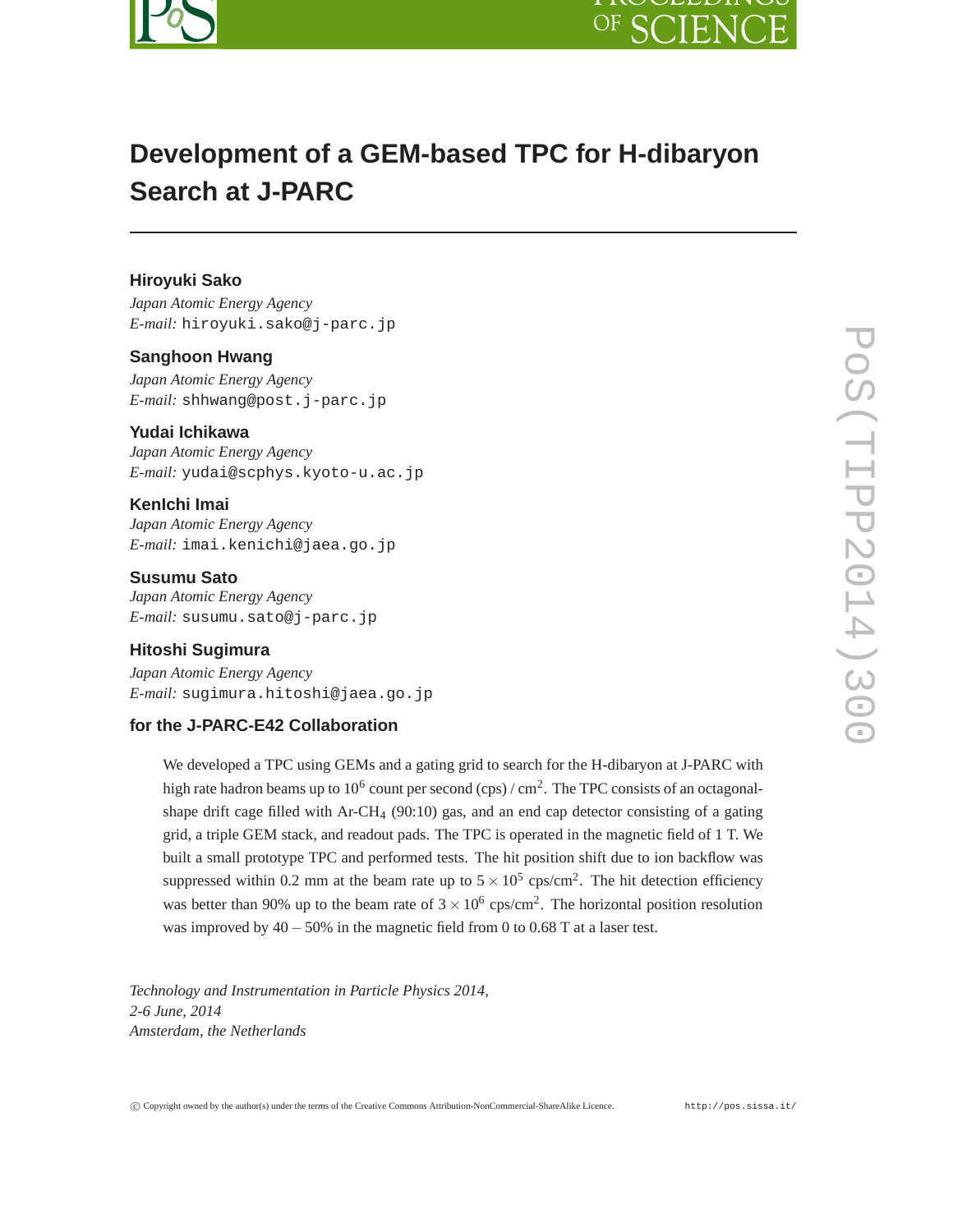



# **Development of a GEM-based TPC for H-dibaryon Search at J-PARC**

# **Hiroyuki Sako**

*Japan Atomic Energy Agency E-mail:* hiroyuki.sako@j-parc.jp

## **Sanghoon Hwang**

*Japan Atomic Energy Agency E-mail:* shhwang@post.j-parc.jp

## **Yudai Ichikawa**

*Japan Atomic Energy Agency E-mail:* yudai@scphys.kyoto-u.ac.jp

# **KenIchi Imai**

*Japan Atomic Energy Agency E-mail:* imai.kenichi@jaea.go.jp

## **Susumu Sato**

*Japan Atomic Energy Agency E-mail:* susumu.sato@j-parc.jp

## **Hitoshi Sugimura**

*Japan Atomic Energy Agency E-mail:* sugimura.hitoshi@jaea.go.jp

## **for the J-PARC-E42 Collaboration**

We developed a TPC using GEMs and a gating grid to search for the H-dibaryon at J-PARC with high rate hadron beams up to 10<sup>6</sup> count per second (cps) / cm<sup>2</sup>. The TPC consists of an octagonalshape drift cage filled with  $Ar-CH_4$  (90:10) gas, and an end cap detector consisting of a gating grid, a triple GEM stack, and readout pads. The TPC is operated in the magnetic field of 1 T. We built a small prototype TPC and performed tests. The hit position shift due to ion backflow was suppressed within 0.2 mm at the beam rate up to  $5 \times 10^5$  cps/cm<sup>2</sup>. The hit detection efficiency was better than 90% up to the beam rate of  $3 \times 10^6$  cps/cm<sup>2</sup>. The horizontal position resolution was improved by 40−50% in the magnetic field from 0 to 0.68 T at a laser test.

*Technology and Instrumentation in Particle Physics 2014, 2-6 June, 2014 Amsterdam, the Netherlands*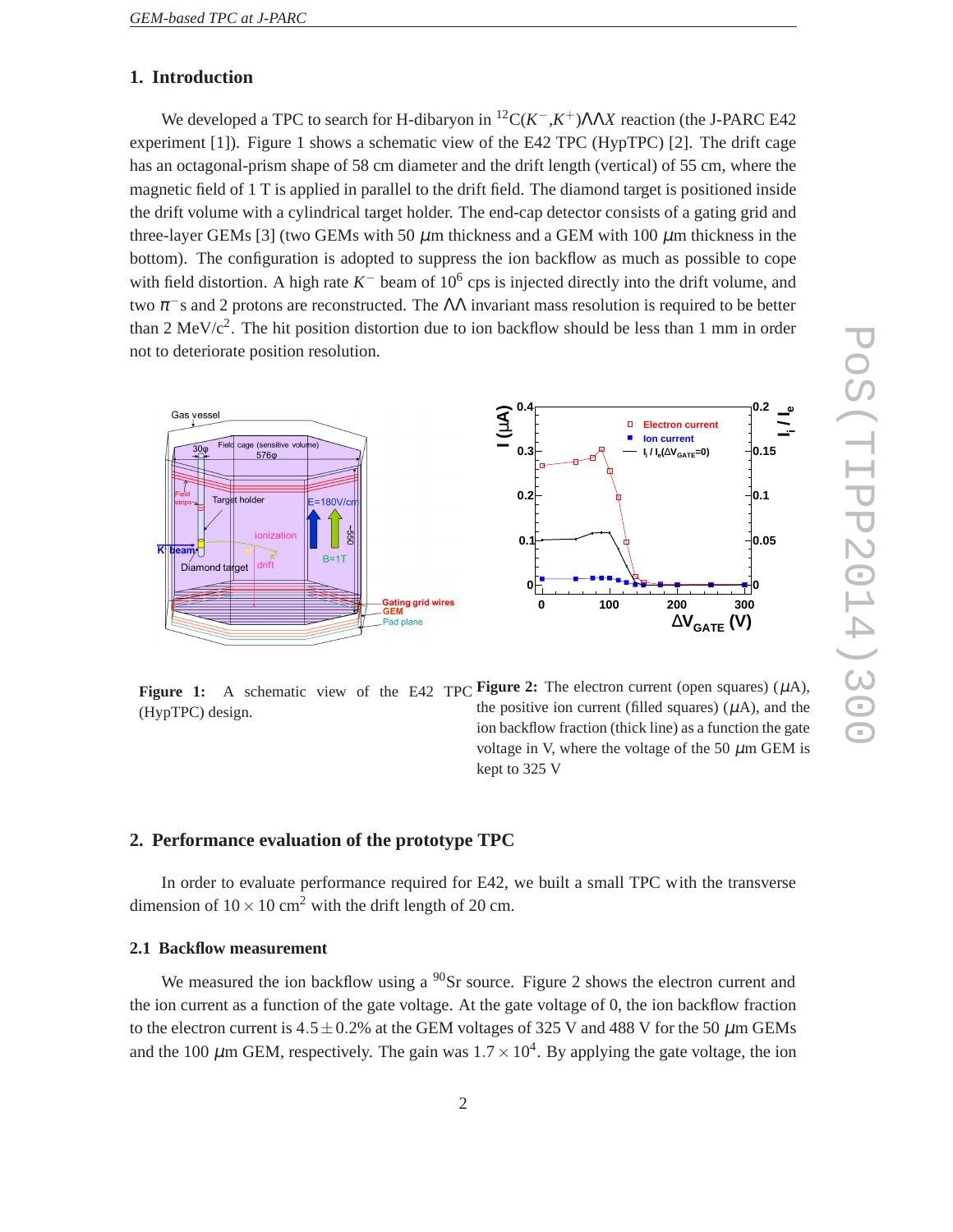# **1. Introduction**

We developed a TPC to search for H-dibaryon in <sup>12</sup>C( $K^-$ , $K^+$ ) $\Lambda\Lambda X$  reaction (the J-PARC E42 experiment  $[1]$ ). Figure 1 shows a schematic view of the E42 TPC (HypTPC)  $[2]$ . The drift cage has an octagonal-prism shape of 58 cm diameter and the drift length (vertical) of 55 cm, where the magnetic field of 1 T is applied in parallel to the drift field. The diamond target is positioned inside the drift volume with a cylindrical target holder. The end-cap detector consists of a gating grid and three-layer GEMs [3] (two GEMs with 50  $\mu$ m thickness and a GEM with 100  $\mu$ m thickness in the bottom). The configuration is adopted to suppress the ion backflow as much as possible to cope with field distortion. A high rate  $K^-$  beam of  $10^6$  cps is injected directly into the drift volume, and two  $\pi$ <sup>-</sup>s and 2 protons are reconstructed. The  $\Lambda\Lambda$  invariant mass resolution is required to be better than 2 MeV/ $c^2$ . The hit position distortion due to ion backflow should be less than 1 mm in order not to deteriorate position resolution.



**Figure 1:** A schematic view of the E42 TPC **Figure 2:** The electron current (open squares)  $(\mu A)$ , (HypTPC) design.

the positive ion current (filled squares)  $(\mu A)$ , and the ion backflow fraction (thick line) as a function the gate voltage in V, where the voltage of the 50  $\mu$ m GEM is kept to 325 V

# **2. Performance evaluation of the prototype TPC**

In order to evaluate performance required for E42, we built a small TPC with the transverse dimension of  $10 \times 10$  cm<sup>2</sup> with the drift length of 20 cm.

#### **2.1 Backflow measurement**

We measured the ion backflow using a  $^{90}$ Sr source. Figure 2 shows the electron current and the ion current as a function of the gate voltage. At the gate voltage of 0, the ion backflow fraction to the electron current is  $4.5 \pm 0.2\%$  at the GEM voltages of 325 V and 488 V for the 50  $\mu$ m GEMs and the 100  $\mu$ m GEM, respectively. The gain was  $1.7 \times 10^4$ . By applying the gate voltage, the ion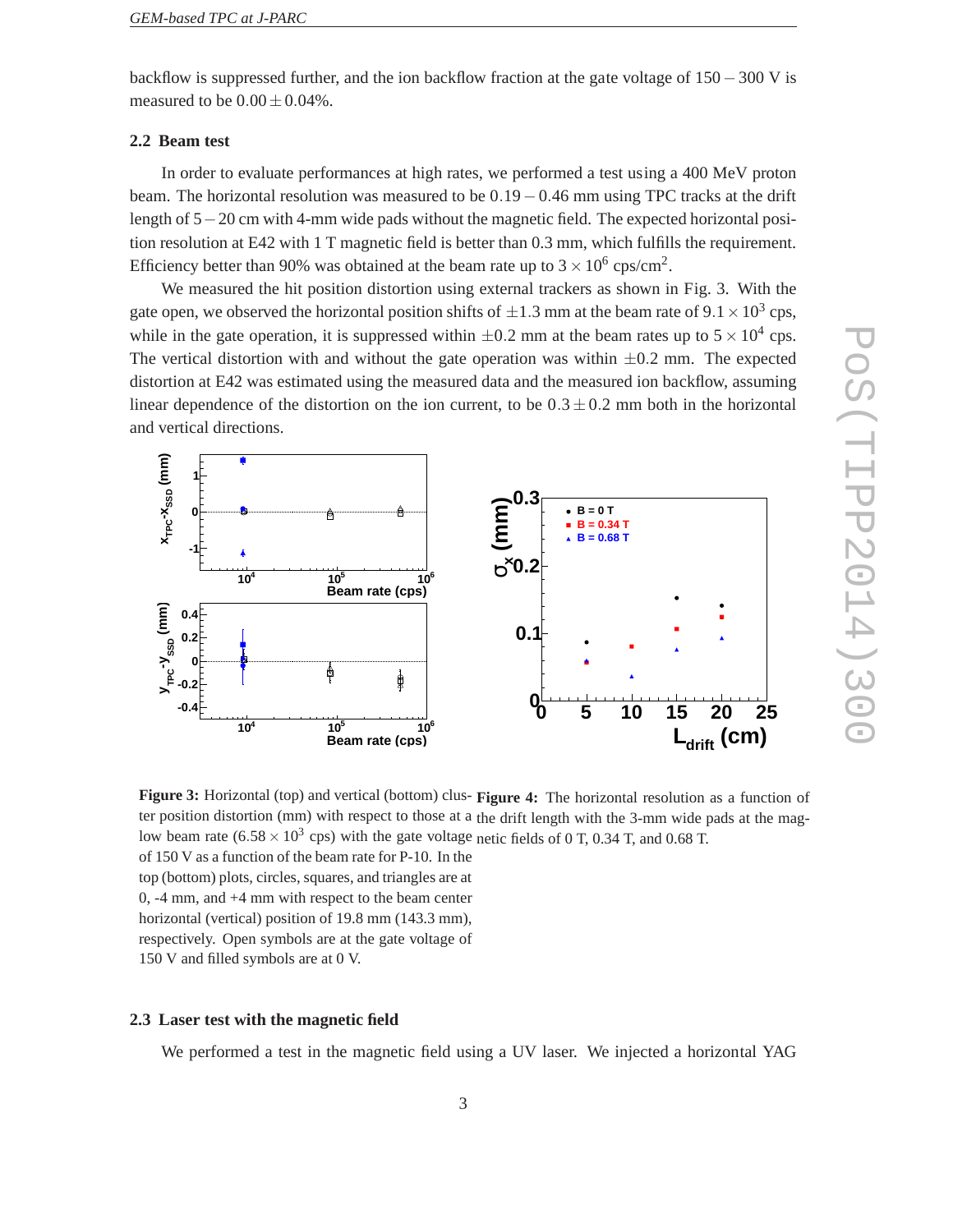backflow is suppressed further, and the ion backflow fraction at the gate voltage of 150−300 V is measured to be  $0.00 \pm 0.04\%$ .

#### **2.2 Beam test**

In order to evaluate performances at high rates, we performed a test using a 400 MeV proton beam. The horizontal resolution was measured to be  $0.19-0.46$  mm using TPC tracks at the drift length of 5−20 cm with 4-mm wide pads without the magnetic field. The expected horizontal position resolution at E42 with 1 T magnetic field is better than 0.3 mm, which fulfills the requirement. Efficiency better than 90% was obtained at the beam rate up to  $3 \times 10^6$  cps/cm<sup>2</sup>.

We measured the hit position distortion using external trackers as shown in Fig. 3. With the gate open, we observed the horizontal position shifts of  $\pm 1.3$  mm at the beam rate of  $9.1 \times 10^3$  cps, while in the gate operation, it is suppressed within  $\pm 0.2$  mm at the beam rates up to  $5 \times 10^4$  cps. The vertical distortion with and without the gate operation was within  $\pm 0.2$  mm. The expected distortion at E42 was estimated using the measured data and the measured ion backflow, assuming linear dependence of the distortion on the ion current, to be  $0.3 \pm 0.2$  mm both in the horizontal and vertical directions.



Figure 3: Horizontal (top) and vertical (bottom) clus- Figure 4: The horizontal resolution as a function of ter position distortion (mm) with respect to those at a the drift length with the 3-mm wide pads at the maglow beam rate  $(6.58 \times 10^3 \text{ cps})$  with the gate voltage netic fields of 0 T, 0.34 T, and 0.68 T. of 150 V as a function of the beam rate for P-10. In the top (bottom) plots, circles, squares, and triangles are at

0, -4 mm, and +4 mm with respect to the beam center horizontal (vertical) position of 19.8 mm (143.3 mm), respectively. Open symbols are at the gate voltage of 150 V and filled symbols are at 0 V.

#### **2.3 Laser test with the magnetic field**

We performed a test in the magnetic field using a UV laser. We injected a horizontal YAG